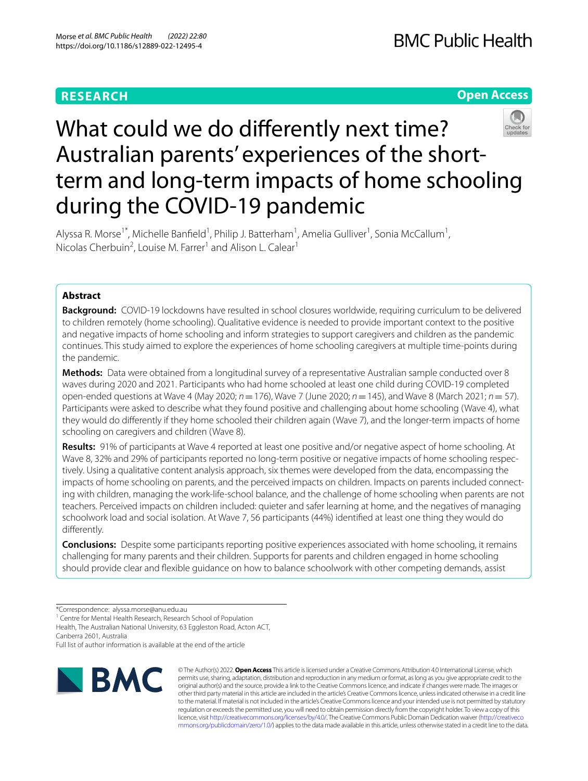## **RESEARCH**

## **Open Access**



# What could we do diferently next time? Australian parents' experiences of the shortterm and long-term impacts of home schooling during the COVID-19 pandemic

Alyssa R. Morse<sup>1\*</sup>, Michelle Banfield<sup>1</sup>, Philip J. Batterham<sup>1</sup>, Amelia Gulliver<sup>1</sup>, Sonia McCallum<sup>1</sup>, Nicolas Cherbuin<sup>2</sup>, Louise M. Farrer<sup>1</sup> and Alison L. Calear<sup>1</sup>

## **Abstract**

**Background:** COVID-19 lockdowns have resulted in school closures worldwide, requiring curriculum to be delivered to children remotely (home schooling). Qualitative evidence is needed to provide important context to the positive and negative impacts of home schooling and inform strategies to support caregivers and children as the pandemic continues. This study aimed to explore the experiences of home schooling caregivers at multiple time-points during the pandemic.

**Methods:** Data were obtained from a longitudinal survey of a representative Australian sample conducted over 8 waves during 2020 and 2021. Participants who had home schooled at least one child during COVID-19 completed open-ended questions at Wave 4 (May 2020; *n*=176), Wave 7 (June 2020; *n*=145), and Wave 8 (March 2021; *n*= 57). Participants were asked to describe what they found positive and challenging about home schooling (Wave 4), what they would do diferently if they home schooled their children again (Wave 7), and the longer-term impacts of home schooling on caregivers and children (Wave 8).

**Results:** 91% of participants at Wave 4 reported at least one positive and/or negative aspect of home schooling. At Wave 8, 32% and 29% of participants reported no long-term positive or negative impacts of home schooling respectively. Using a qualitative content analysis approach, six themes were developed from the data, encompassing the impacts of home schooling on parents, and the perceived impacts on children. Impacts on parents included connecting with children, managing the work-life-school balance, and the challenge of home schooling when parents are not teachers. Perceived impacts on children included: quieter and safer learning at home, and the negatives of managing schoolwork load and social isolation. At Wave 7, 56 participants (44%) identifed at least one thing they would do diferently.

**Conclusions:** Despite some participants reporting positive experiences associated with home schooling, it remains challenging for many parents and their children. Supports for parents and children engaged in home schooling should provide clear and fexible guidance on how to balance schoolwork with other competing demands, assist

<sup>1</sup> Centre for Mental Health Research, Research School of Population

Health, The Australian National University, 63 Eggleston Road, Acton ACT, Canberra 2601, Australia

Full list of author information is available at the end of the article



© The Author(s) 2022. **Open Access** This article is licensed under a Creative Commons Attribution 4.0 International License, which permits use, sharing, adaptation, distribution and reproduction in any medium or format, as long as you give appropriate credit to the original author(s) and the source, provide a link to the Creative Commons licence, and indicate if changes were made. The images or other third party material in this article are included in the article's Creative Commons licence, unless indicated otherwise in a credit line to the material. If material is not included in the article's Creative Commons licence and your intended use is not permitted by statutory regulation or exceeds the permitted use, you will need to obtain permission directly from the copyright holder. To view a copy of this licence, visit [http://creativecommons.org/licenses/by/4.0/.](http://creativecommons.org/licenses/by/4.0/) The Creative Commons Public Domain Dedication waiver ([http://creativeco](http://creativecommons.org/publicdomain/zero/1.0/) [mmons.org/publicdomain/zero/1.0/](http://creativecommons.org/publicdomain/zero/1.0/)) applies to the data made available in this article, unless otherwise stated in a credit line to the data.

<sup>\*</sup>Correspondence: alyssa.morse@anu.edu.au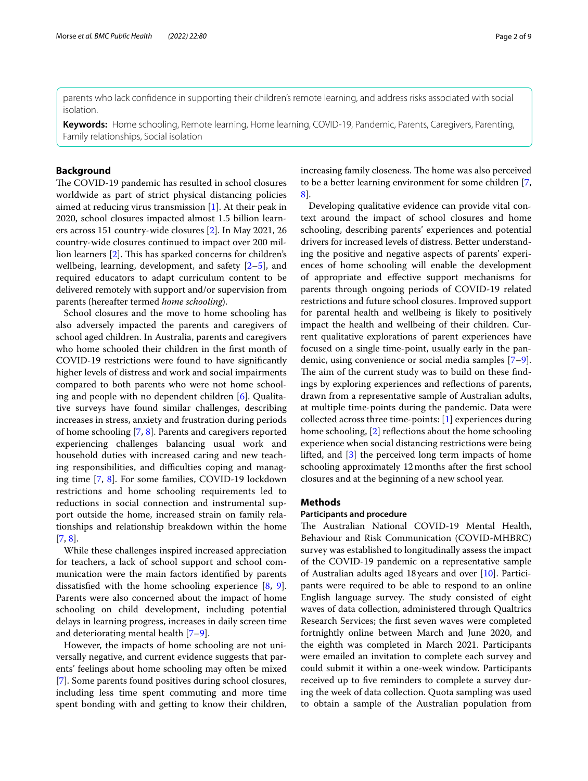parents who lack confdence in supporting their children's remote learning, and address risks associated with social isolation.

**Keywords:** Home schooling, Remote learning, Home learning, COVID-19, Pandemic, Parents, Caregivers, Parenting, Family relationships, Social isolation

## **Background**

The COVID-19 pandemic has resulted in school closures worldwide as part of strict physical distancing policies aimed at reducing virus transmission [[1\]](#page-8-0). At their peak in 2020, school closures impacted almost 1.5 billion learners across 151 country-wide closures [\[2](#page-8-1)]. In May 2021, 26 country-wide closures continued to impact over 200 mil-lion learners [[2\]](#page-8-1). This has sparked concerns for children's wellbeing, learning, development, and safety [\[2](#page-8-1)[–5](#page-8-2)], and required educators to adapt curriculum content to be delivered remotely with support and/or supervision from parents (hereafter termed *home schooling*).

School closures and the move to home schooling has also adversely impacted the parents and caregivers of school aged children. In Australia, parents and caregivers who home schooled their children in the frst month of COVID-19 restrictions were found to have signifcantly higher levels of distress and work and social impairments compared to both parents who were not home schooling and people with no dependent children [[6\]](#page-8-3). Qualitative surveys have found similar challenges, describing increases in stress, anxiety and frustration during periods of home schooling [[7,](#page-8-4) [8\]](#page-8-5). Parents and caregivers reported experiencing challenges balancing usual work and household duties with increased caring and new teaching responsibilities, and difficulties coping and managing time [[7,](#page-8-4) [8](#page-8-5)]. For some families, COVID-19 lockdown restrictions and home schooling requirements led to reductions in social connection and instrumental support outside the home, increased strain on family relationships and relationship breakdown within the home [[7,](#page-8-4) [8](#page-8-5)].

While these challenges inspired increased appreciation for teachers, a lack of school support and school communication were the main factors identifed by parents dissatisfed with the home schooling experience [[8,](#page-8-5) [9](#page-8-6)]. Parents were also concerned about the impact of home schooling on child development, including potential delays in learning progress, increases in daily screen time and deteriorating mental health [\[7](#page-8-4)[–9](#page-8-6)].

However, the impacts of home schooling are not universally negative, and current evidence suggests that parents' feelings about home schooling may often be mixed [[7\]](#page-8-4). Some parents found positives during school closures, including less time spent commuting and more time spent bonding with and getting to know their children, increasing family closeness. The home was also perceived to be a better learning environment for some children [\[7](#page-8-4), [8\]](#page-8-5).

Developing qualitative evidence can provide vital context around the impact of school closures and home schooling, describing parents' experiences and potential drivers for increased levels of distress. Better understanding the positive and negative aspects of parents' experiences of home schooling will enable the development of appropriate and efective support mechanisms for parents through ongoing periods of COVID-19 related restrictions and future school closures. Improved support for parental health and wellbeing is likely to positively impact the health and wellbeing of their children. Current qualitative explorations of parent experiences have focused on a single time-point, usually early in the pandemic, using convenience or social media samples [\[7](#page-8-4)[–9](#page-8-6)]. The aim of the current study was to build on these findings by exploring experiences and refections of parents, drawn from a representative sample of Australian adults, at multiple time-points during the pandemic. Data were collected across three time-points: [[1\]](#page-8-0) experiences during home schooling, [\[2](#page-8-1)] reflections about the home schooling experience when social distancing restrictions were being lifted, and [\[3](#page-8-7)] the perceived long term impacts of home schooling approximately 12months after the frst school closures and at the beginning of a new school year.

## **Methods**

#### **Participants and procedure**

The Australian National COVID-19 Mental Health, Behaviour and Risk Communication (COVID-MHBRC) survey was established to longitudinally assess the impact of the COVID-19 pandemic on a representative sample of Australian adults aged 18 years and over [[10\]](#page-8-8). Participants were required to be able to respond to an online English language survey. The study consisted of eight waves of data collection, administered through Qualtrics Research Services; the frst seven waves were completed fortnightly online between March and June 2020, and the eighth was completed in March 2021. Participants were emailed an invitation to complete each survey and could submit it within a one-week window. Participants received up to fve reminders to complete a survey during the week of data collection. Quota sampling was used to obtain a sample of the Australian population from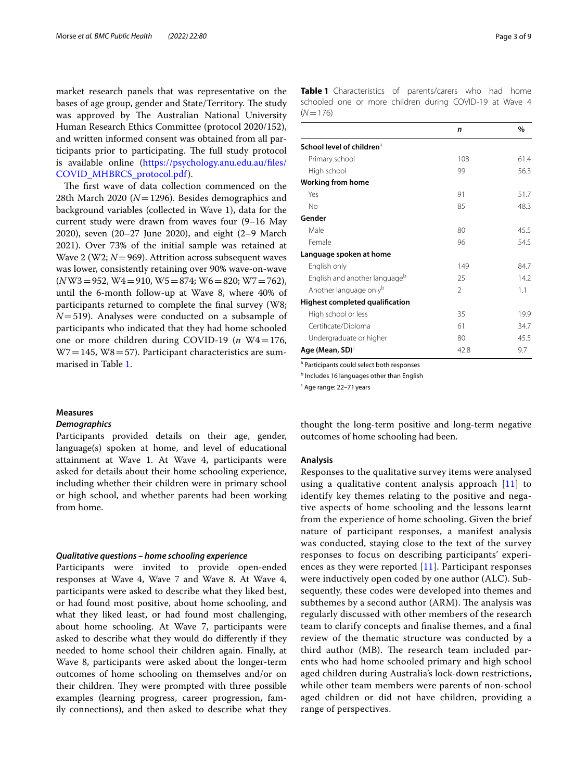market research panels that was representative on the bases of age group, gender and State/Territory. The study was approved by The Australian National University Human Research Ethics Committee (protocol 2020/152), and written informed consent was obtained from all participants prior to participating. The full study protocol is available online ([https://psychology.anu.edu.au/fles/](https://psychology.anu.edu.au/files/COVID_MHBRCS_protocol.pdf) [COVID\\_MHBRCS\\_protocol.pdf](https://psychology.anu.edu.au/files/COVID_MHBRCS_protocol.pdf)).

The first wave of data collection commenced on the 28th March 2020 (*N*=1296). Besides demographics and background variables (collected in Wave 1), data for the current study were drawn from waves four (9–16 May 2020), seven (20–27 June 2020), and eight (2–9 March 2021). Over 73% of the initial sample was retained at Wave 2 (W2; *N*=969). Attrition across subsequent waves was lower, consistently retaining over 90% wave-on-wave (*N*W3=952, W4=910, W5=874; W6=820; W7=762), until the 6-month follow-up at Wave 8, where 40% of participants returned to complete the fnal survey (W8; *N*=519). Analyses were conducted on a subsample of participants who indicated that they had home schooled one or more children during COVID-19 ( $n$  W4=176,  $W7 = 145$ ,  $W8 = 57$ ). Participant characteristics are summarised in Table [1.](#page-2-0)

#### **Measures**

## *Demographics*

Participants provided details on their age, gender, language(s) spoken at home, and level of educational attainment at Wave 1. At Wave 4, participants were asked for details about their home schooling experience, including whether their children were in primary school or high school, and whether parents had been working from home.

#### *Qualitative questions – home schooling experience*

Participants were invited to provide open-ended responses at Wave 4, Wave 7 and Wave 8. At Wave 4, participants were asked to describe what they liked best, or had found most positive, about home schooling, and what they liked least, or had found most challenging, about home schooling. At Wave 7, participants were asked to describe what they would do diferently if they needed to home school their children again. Finally, at Wave 8, participants were asked about the longer-term outcomes of home schooling on themselves and/or on their children. They were prompted with three possible examples (learning progress, career progression, family connections), and then asked to describe what they <span id="page-2-0"></span>**Table 1** Characteristics of parents/carers who had home schooled one or more children during COVID-19 at Wave 4  $(N=176)$ 

|                                           | n              | $\frac{0}{0}$ |
|-------------------------------------------|----------------|---------------|
| School level of children <sup>a</sup>     |                |               |
| Primary school                            | 108            | 61.4          |
| High school                               | 99             | 56.3          |
| <b>Working from home</b>                  |                |               |
| Yes                                       | 91             | 51.7          |
| No                                        | 85             | 48.3          |
| Gender                                    |                |               |
| Male                                      | 80             | 45.5          |
| Female                                    | 96             | 54.5          |
| Language spoken at home                   |                |               |
| English only                              | 149            | 84.7          |
| English and another language <sup>b</sup> | 25             | 14.2          |
| Another language onlyb                    | $\mathfrak{D}$ | 1.1           |
| Highest completed qualification           |                |               |
| High school or less                       | 35             | 19.9          |
| Certificate/Diploma                       | 61             | 34.7          |
| Undergraduate or higher                   | 80             | 45.5          |
| Age (Mean, SD) $c$                        | 42.8           | 9.7           |

a Participants could select both responses

**b** Includes 16 languages other than English

<sup>c</sup> Age range: 22-71 years

thought the long-term positive and long-term negative outcomes of home schooling had been.

#### **Analysis**

Responses to the qualitative survey items were analysed using a qualitative content analysis approach  $[11]$  $[11]$  $[11]$  to identify key themes relating to the positive and negative aspects of home schooling and the lessons learnt from the experience of home schooling. Given the brief nature of participant responses, a manifest analysis was conducted, staying close to the text of the survey responses to focus on describing participants' experiences as they were reported [[11](#page-8-9)]. Participant responses were inductively open coded by one author (ALC). Subsequently, these codes were developed into themes and subthemes by a second author (ARM). The analysis was regularly discussed with other members of the research team to clarify concepts and fnalise themes, and a fnal review of the thematic structure was conducted by a third author (MB). The research team included parents who had home schooled primary and high school aged children during Australia's lock-down restrictions, while other team members were parents of non-school aged children or did not have children, providing a range of perspectives.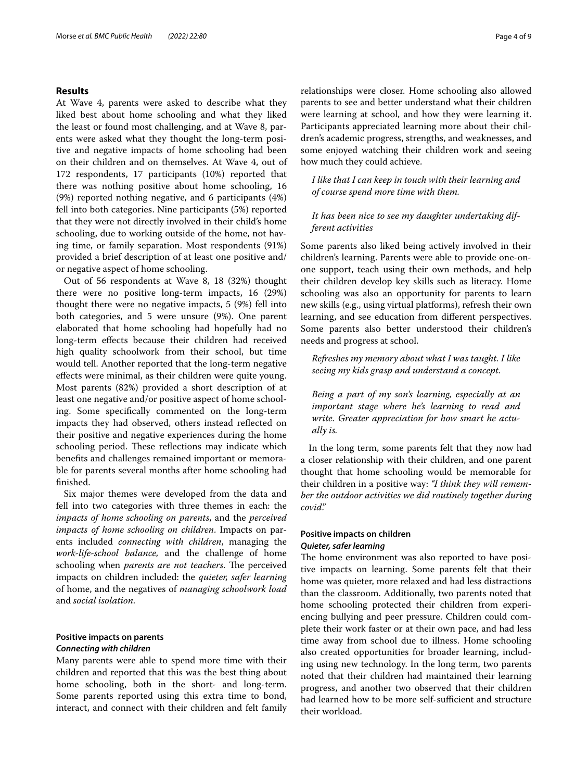## **Results**

At Wave 4, parents were asked to describe what they liked best about home schooling and what they liked the least or found most challenging, and at Wave 8, parents were asked what they thought the long-term positive and negative impacts of home schooling had been on their children and on themselves. At Wave 4, out of 172 respondents, 17 participants (10%) reported that there was nothing positive about home schooling, 16 (9%) reported nothing negative, and 6 participants (4%) fell into both categories. Nine participants (5%) reported that they were not directly involved in their child's home schooling, due to working outside of the home, not having time, or family separation. Most respondents (91%) provided a brief description of at least one positive and/ or negative aspect of home schooling.

Out of 56 respondents at Wave 8, 18 (32%) thought there were no positive long-term impacts, 16 (29%) thought there were no negative impacts, 5 (9%) fell into both categories, and 5 were unsure (9%). One parent elaborated that home schooling had hopefully had no long-term efects because their children had received high quality schoolwork from their school, but time would tell. Another reported that the long-term negative efects were minimal, as their children were quite young. Most parents (82%) provided a short description of at least one negative and/or positive aspect of home schooling. Some specifcally commented on the long-term impacts they had observed, others instead refected on their positive and negative experiences during the home schooling period. These reflections may indicate which benefts and challenges remained important or memorable for parents several months after home schooling had fnished.

Six major themes were developed from the data and fell into two categories with three themes in each: the *impacts of home schooling on parents*, and the *perceived impacts of home schooling on children*. Impacts on parents included *connecting with children*, managing the *work-life-school balance,* and the challenge of home schooling when *parents are not teachers*. The perceived impacts on children included: the *quieter, safer learning* of home, and the negatives of *managing schoolwork load* and *social isolation*.

# **Positive impacts on parents**

## *Connecting with children*

Many parents were able to spend more time with their children and reported that this was the best thing about home schooling, both in the short- and long-term. Some parents reported using this extra time to bond, interact, and connect with their children and felt family relationships were closer. Home schooling also allowed parents to see and better understand what their children were learning at school, and how they were learning it. Participants appreciated learning more about their children's academic progress, strengths, and weaknesses, and some enjoyed watching their children work and seeing how much they could achieve.

*I like that I can keep in touch with their learning and of course spend more time with them.*

## *It has been nice to see my daughter undertaking different activities*

Some parents also liked being actively involved in their children's learning. Parents were able to provide one-onone support, teach using their own methods, and help their children develop key skills such as literacy. Home schooling was also an opportunity for parents to learn new skills (e.g., using virtual platforms), refresh their own learning, and see education from diferent perspectives. Some parents also better understood their children's needs and progress at school.

*Refreshes my memory about what I was taught. I like seeing my kids grasp and understand a concept.*

*Being a part of my son's learning, especially at an important stage where he's learning to read and write. Greater appreciation for how smart he actually is.*

In the long term, some parents felt that they now had a closer relationship with their children, and one parent thought that home schooling would be memorable for their children in a positive way: *"I think they will remember the outdoor activities we did routinely together during covid*."

## **Positive impacts on children** *Quieter, safer learning*

The home environment was also reported to have positive impacts on learning. Some parents felt that their home was quieter, more relaxed and had less distractions than the classroom. Additionally, two parents noted that home schooling protected their children from experiencing bullying and peer pressure. Children could complete their work faster or at their own pace, and had less time away from school due to illness. Home schooling also created opportunities for broader learning, including using new technology. In the long term, two parents noted that their children had maintained their learning progress, and another two observed that their children had learned how to be more self-sufficient and structure their workload.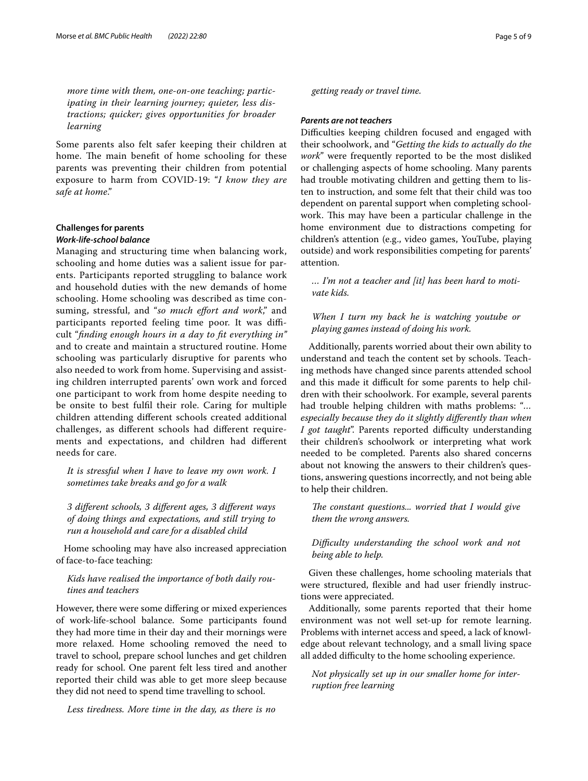*more time with them, one-on-one teaching; participating in their learning journey; quieter, less distractions; quicker; gives opportunities for broader learning*

Some parents also felt safer keeping their children at home. The main benefit of home schooling for these parents was preventing their children from potential exposure to harm from COVID-19: "*I know they are safe at home*."

## **Challenges for parents** *Work‑life‑school balance*

Managing and structuring time when balancing work, schooling and home duties was a salient issue for parents. Participants reported struggling to balance work and household duties with the new demands of home schooling. Home schooling was described as time consuming, stressful, and "*so much efort and work*," and participants reported feeling time poor. It was difficult "*fnding enough hours in a day to ft everything in"* and to create and maintain a structured routine. Home schooling was particularly disruptive for parents who also needed to work from home. Supervising and assisting children interrupted parents' own work and forced one participant to work from home despite needing to be onsite to best fulfl their role. Caring for multiple children attending diferent schools created additional challenges, as diferent schools had diferent requirements and expectations, and children had diferent needs for care.

*It is stressful when I have to leave my own work. I sometimes take breaks and go for a walk*

*3 diferent schools, 3 diferent ages, 3 diferent ways of doing things and expectations, and still trying to run a household and care for a disabled child*

Home schooling may have also increased appreciation of face-to-face teaching:

## *Kids have realised the importance of both daily routines and teachers*

However, there were some difering or mixed experiences of work-life-school balance. Some participants found they had more time in their day and their mornings were more relaxed. Home schooling removed the need to travel to school, prepare school lunches and get children ready for school. One parent felt less tired and another reported their child was able to get more sleep because they did not need to spend time travelling to school.

*Less tiredness. More time in the day, as there is no* 

*getting ready or travel time.*

## *Parents are not teachers*

Difficulties keeping children focused and engaged with their schoolwork, and "*Getting the kids to actually do the work*" were frequently reported to be the most disliked or challenging aspects of home schooling. Many parents had trouble motivating children and getting them to listen to instruction, and some felt that their child was too dependent on parental support when completing schoolwork. This may have been a particular challenge in the home environment due to distractions competing for children's attention (e.g., video games, YouTube, playing outside) and work responsibilities competing for parents' attention.

*… I'm not a teacher and [it] has been hard to motivate kids.*

## *When I turn my back he is watching youtube or playing games instead of doing his work.*

Additionally, parents worried about their own ability to understand and teach the content set by schools. Teaching methods have changed since parents attended school and this made it difficult for some parents to help children with their schoolwork. For example, several parents had trouble helping children with maths problems: "*… especially because they do it slightly diferently than when I got taught*". Parents reported difficulty understanding their children's schoolwork or interpreting what work needed to be completed. Parents also shared concerns about not knowing the answers to their children's questions, answering questions incorrectly, and not being able to help their children.

*The constant questions... worried that I would give them the wrong answers.*

## *Difculty understanding the school work and not being able to help.*

Given these challenges, home schooling materials that were structured, flexible and had user friendly instructions were appreciated.

Additionally, some parents reported that their home environment was not well set-up for remote learning. Problems with internet access and speed, a lack of knowledge about relevant technology, and a small living space all added difficulty to the home schooling experience.

*Not physically set up in our smaller home for interruption free learning*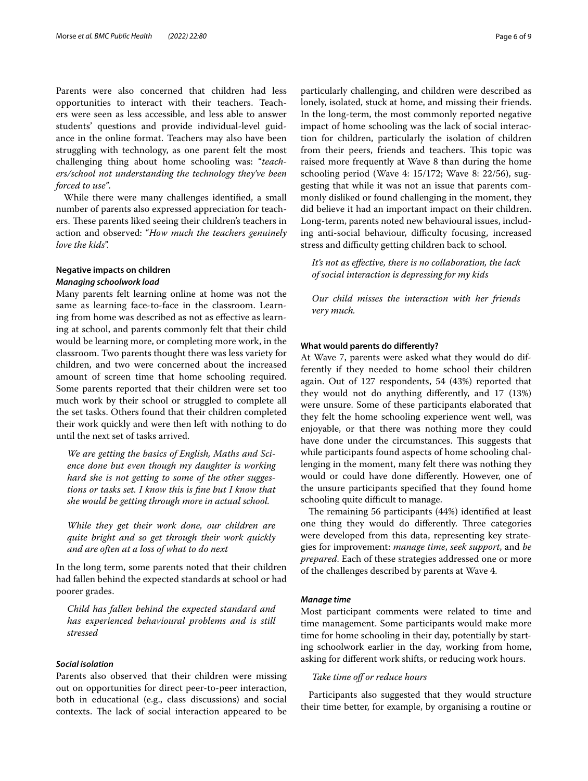Parents were also concerned that children had less opportunities to interact with their teachers. Teachers were seen as less accessible, and less able to answer students' questions and provide individual-level guidance in the online format. Teachers may also have been struggling with technology, as one parent felt the most challenging thing about home schooling was: "*teachers/school not understanding the technology they've been forced to use"*.

While there were many challenges identifed, a small number of parents also expressed appreciation for teachers. These parents liked seeing their children's teachers in action and observed: "*How much the teachers genuinely love the kids*".

## **Negative impacts on children** *Managing schoolwork load*

Many parents felt learning online at home was not the same as learning face-to-face in the classroom. Learning from home was described as not as efective as learning at school, and parents commonly felt that their child would be learning more, or completing more work, in the classroom. Two parents thought there was less variety for children, and two were concerned about the increased amount of screen time that home schooling required. Some parents reported that their children were set too much work by their school or struggled to complete all the set tasks. Others found that their children completed their work quickly and were then left with nothing to do until the next set of tasks arrived.

*We are getting the basics of English, Maths and Science done but even though my daughter is working hard she is not getting to some of the other suggestions or tasks set. I know this is fne but I know that she would be getting through more in actual school.*

*While they get their work done, our children are quite bright and so get through their work quickly and are often at a loss of what to do next*

In the long term, some parents noted that their children had fallen behind the expected standards at school or had poorer grades.

*Child has fallen behind the expected standard and has experienced behavioural problems and is still stressed*

## *Social isolation*

Parents also observed that their children were missing out on opportunities for direct peer-to-peer interaction, both in educational (e.g., class discussions) and social contexts. The lack of social interaction appeared to be particularly challenging, and children were described as lonely, isolated, stuck at home, and missing their friends. In the long-term, the most commonly reported negative impact of home schooling was the lack of social interaction for children, particularly the isolation of children from their peers, friends and teachers. This topic was raised more frequently at Wave 8 than during the home schooling period (Wave 4: 15/172; Wave 8: 22/56), suggesting that while it was not an issue that parents commonly disliked or found challenging in the moment, they did believe it had an important impact on their children. Long-term, parents noted new behavioural issues, including anti-social behaviour, difficulty focusing, increased stress and difficulty getting children back to school.

*It's not as efective, there is no collaboration, the lack of social interaction is depressing for my kids*

*Our child misses the interaction with her friends very much.*

#### **What would parents do diferently?**

At Wave 7, parents were asked what they would do differently if they needed to home school their children again. Out of 127 respondents, 54 (43%) reported that they would not do anything diferently, and 17 (13%) were unsure. Some of these participants elaborated that they felt the home schooling experience went well, was enjoyable, or that there was nothing more they could have done under the circumstances. This suggests that while participants found aspects of home schooling challenging in the moment, many felt there was nothing they would or could have done diferently. However, one of the unsure participants specifed that they found home schooling quite difficult to manage.

The remaining 56 participants (44%) identified at least one thing they would do differently. Three categories were developed from this data, representing key strategies for improvement: *manage time*, *seek support*, and *be prepared*. Each of these strategies addressed one or more of the challenges described by parents at Wave 4.

## *Manage time*

Most participant comments were related to time and time management. Some participants would make more time for home schooling in their day, potentially by starting schoolwork earlier in the day, working from home, asking for diferent work shifts, or reducing work hours.

## *Take time of or reduce hours*

Participants also suggested that they would structure their time better, for example, by organising a routine or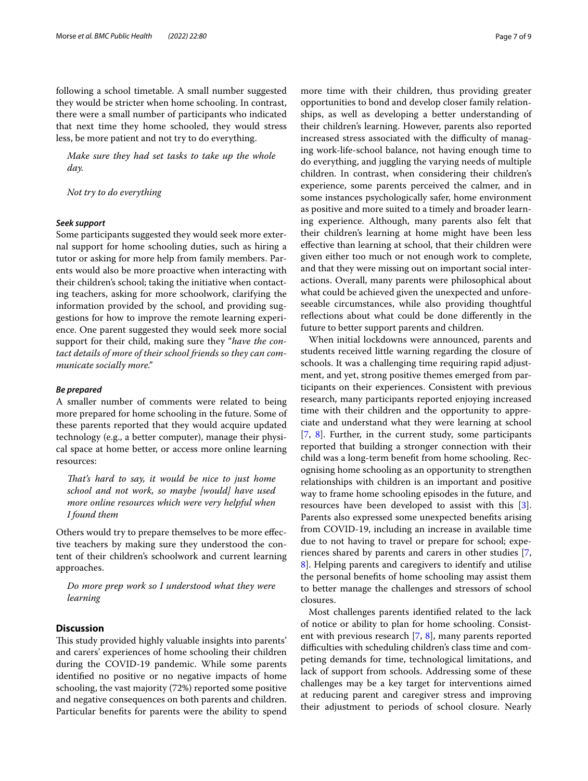following a school timetable. A small number suggested they would be stricter when home schooling. In contrast, there were a small number of participants who indicated that next time they home schooled, they would stress less, be more patient and not try to do everything.

*Make sure they had set tasks to take up the whole day.*

*Not try to do everything*

## *Seek support*

Some participants suggested they would seek more external support for home schooling duties, such as hiring a tutor or asking for more help from family members. Parents would also be more proactive when interacting with their children's school; taking the initiative when contacting teachers, asking for more schoolwork, clarifying the information provided by the school, and providing suggestions for how to improve the remote learning experience. One parent suggested they would seek more social support for their child, making sure they "*have the contact details of more of their school friends so they can communicate socially more."*

#### *Be prepared*

A smaller number of comments were related to being more prepared for home schooling in the future. Some of these parents reported that they would acquire updated technology (e.g., a better computer), manage their physical space at home better, or access more online learning resources:

*Tat's hard to say, it would be nice to just home school and not work, so maybe [would] have used more online resources which were very helpful when I found them*

Others would try to prepare themselves to be more efective teachers by making sure they understood the content of their children's schoolwork and current learning approaches.

*Do more prep work so I understood what they were learning*

## **Discussion**

This study provided highly valuable insights into parents' and carers' experiences of home schooling their children during the COVID-19 pandemic. While some parents identifed no positive or no negative impacts of home schooling, the vast majority (72%) reported some positive and negative consequences on both parents and children. Particular benefts for parents were the ability to spend more time with their children, thus providing greater opportunities to bond and develop closer family relationships, as well as developing a better understanding of their children's learning. However, parents also reported increased stress associated with the difficulty of managing work-life-school balance, not having enough time to do everything, and juggling the varying needs of multiple children. In contrast, when considering their children's experience, some parents perceived the calmer, and in some instances psychologically safer, home environment as positive and more suited to a timely and broader learning experience. Although, many parents also felt that their children's learning at home might have been less efective than learning at school, that their children were given either too much or not enough work to complete, and that they were missing out on important social interactions. Overall, many parents were philosophical about what could be achieved given the unexpected and unforeseeable circumstances, while also providing thoughtful refections about what could be done diferently in the future to better support parents and children.

When initial lockdowns were announced, parents and students received little warning regarding the closure of schools. It was a challenging time requiring rapid adjustment, and yet, strong positive themes emerged from participants on their experiences. Consistent with previous research, many participants reported enjoying increased time with their children and the opportunity to appreciate and understand what they were learning at school [[7,](#page-8-4) [8](#page-8-5)]. Further, in the current study, some participants reported that building a stronger connection with their child was a long-term beneft from home schooling. Recognising home schooling as an opportunity to strengthen relationships with children is an important and positive way to frame home schooling episodes in the future, and resources have been developed to assist with this [\[3](#page-8-7)]. Parents also expressed some unexpected benefts arising from COVID-19, including an increase in available time due to not having to travel or prepare for school; experiences shared by parents and carers in other studies [\[7](#page-8-4), [8\]](#page-8-5). Helping parents and caregivers to identify and utilise the personal benefts of home schooling may assist them to better manage the challenges and stressors of school closures.

Most challenges parents identifed related to the lack of notice or ability to plan for home schooling. Consistent with previous research [[7,](#page-8-4) [8\]](#page-8-5), many parents reported difficulties with scheduling children's class time and competing demands for time, technological limitations, and lack of support from schools. Addressing some of these challenges may be a key target for interventions aimed at reducing parent and caregiver stress and improving their adjustment to periods of school closure. Nearly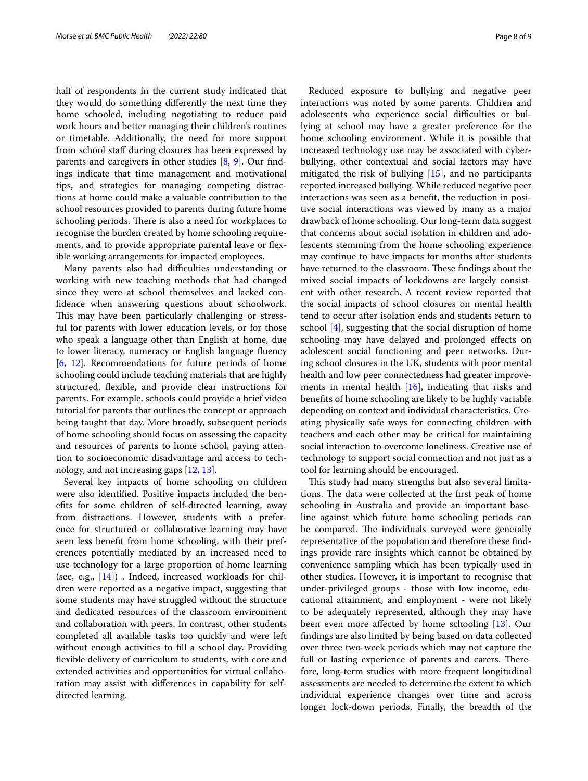half of respondents in the current study indicated that they would do something diferently the next time they home schooled, including negotiating to reduce paid work hours and better managing their children's routines or timetable. Additionally, the need for more support from school staff during closures has been expressed by parents and caregivers in other studies [\[8,](#page-8-5) [9\]](#page-8-6). Our fndings indicate that time management and motivational tips, and strategies for managing competing distractions at home could make a valuable contribution to the school resources provided to parents during future home schooling periods. There is also a need for workplaces to recognise the burden created by home schooling requirements, and to provide appropriate parental leave or fexible working arrangements for impacted employees.

Many parents also had difficulties understanding or working with new teaching methods that had changed since they were at school themselves and lacked confdence when answering questions about schoolwork. This may have been particularly challenging or stressful for parents with lower education levels, or for those who speak a language other than English at home, due to lower literacy, numeracy or English language fuency [[6,](#page-8-3) [12\]](#page-8-10). Recommendations for future periods of home schooling could include teaching materials that are highly structured, fexible, and provide clear instructions for parents. For example, schools could provide a brief video tutorial for parents that outlines the concept or approach being taught that day. More broadly, subsequent periods of home schooling should focus on assessing the capacity and resources of parents to home school, paying attention to socioeconomic disadvantage and access to technology, and not increasing gaps [\[12](#page-8-10), [13](#page-8-11)].

Several key impacts of home schooling on children were also identifed. Positive impacts included the benefts for some children of self-directed learning, away from distractions. However, students with a preference for structured or collaborative learning may have seen less beneft from home schooling, with their preferences potentially mediated by an increased need to use technology for a large proportion of home learning (see, e.g., [\[14](#page-8-12)]) . Indeed, increased workloads for children were reported as a negative impact, suggesting that some students may have struggled without the structure and dedicated resources of the classroom environment and collaboration with peers. In contrast, other students completed all available tasks too quickly and were left without enough activities to fll a school day. Providing fexible delivery of curriculum to students, with core and extended activities and opportunities for virtual collaboration may assist with diferences in capability for selfdirected learning.

Reduced exposure to bullying and negative peer interactions was noted by some parents. Children and adolescents who experience social difficulties or bullying at school may have a greater preference for the home schooling environment. While it is possible that increased technology use may be associated with cyberbullying, other contextual and social factors may have mitigated the risk of bullying [\[15](#page-8-13)], and no participants reported increased bullying. While reduced negative peer interactions was seen as a beneft, the reduction in positive social interactions was viewed by many as a major drawback of home schooling. Our long-term data suggest that concerns about social isolation in children and adolescents stemming from the home schooling experience may continue to have impacts for months after students have returned to the classroom. These findings about the mixed social impacts of lockdowns are largely consistent with other research. A recent review reported that the social impacts of school closures on mental health tend to occur after isolation ends and students return to school [[4](#page-8-14)], suggesting that the social disruption of home schooling may have delayed and prolonged efects on adolescent social functioning and peer networks. During school closures in the UK, students with poor mental health and low peer connectedness had greater improvements in mental health [[16](#page-8-15)], indicating that risks and benefts of home schooling are likely to be highly variable depending on context and individual characteristics. Creating physically safe ways for connecting children with teachers and each other may be critical for maintaining social interaction to overcome loneliness. Creative use of technology to support social connection and not just as a tool for learning should be encouraged.

This study had many strengths but also several limitations. The data were collected at the first peak of home schooling in Australia and provide an important baseline against which future home schooling periods can be compared. The individuals surveyed were generally representative of the population and therefore these fndings provide rare insights which cannot be obtained by convenience sampling which has been typically used in other studies. However, it is important to recognise that under-privileged groups - those with low income, educational attainment, and employment - were not likely to be adequately represented, although they may have been even more afected by home schooling [\[13](#page-8-11)]. Our fndings are also limited by being based on data collected over three two-week periods which may not capture the full or lasting experience of parents and carers. Therefore, long-term studies with more frequent longitudinal assessments are needed to determine the extent to which individual experience changes over time and across longer lock-down periods. Finally, the breadth of the